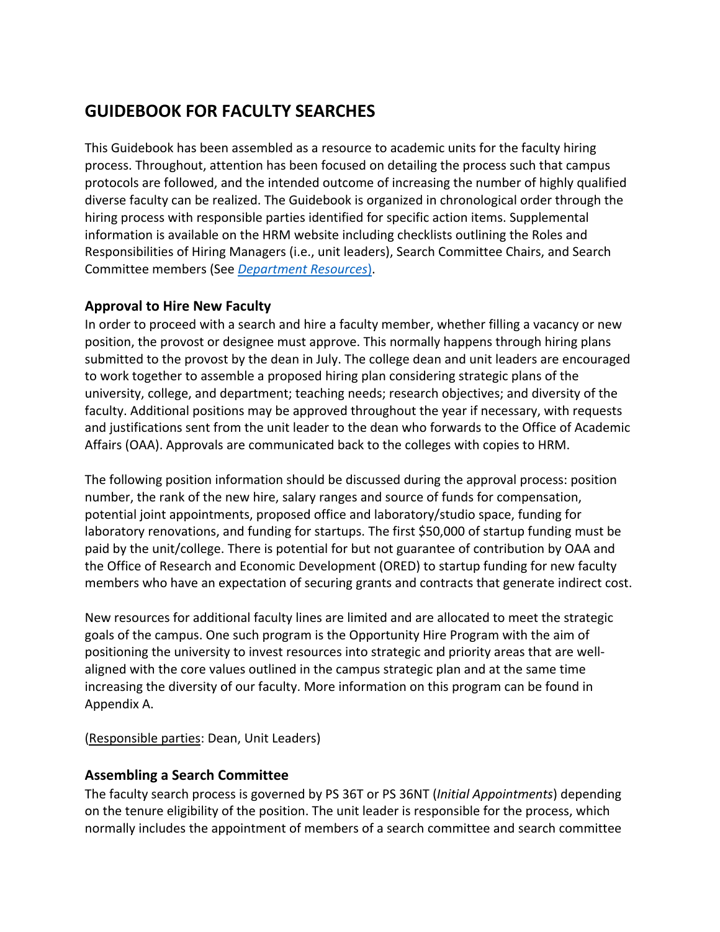# **GUIDEBOOK FOR FACULTY SEARCHES**

 This Guidebook has been assembled as a resource to academic units for the faculty hiring process. Throughout, attention has been focused on detailing the process such that campus protocols are followed, and the intended outcome of increasing the number of highly qualified diverse faculty can be realized. The Guidebook is organized in chronological order through the hiring process with responsible parties identified for specific action items. Supplemental information is available on the HRM website including checklists outlining the Roles and Responsibilities of Hiring Managers (i.e., unit leaders), Search Committee Chairs, and Search Committee members (See *Department Resources*).

### **Approval to Hire New Faculty**

 In order to proceed with a search and hire a faculty member, whether filling a vacancy or new position, the provost or designee must approve. This normally happens through hiring plans submitted to the provost by the dean in July. The college dean and unit leaders are encouraged to work together to assemble a proposed hiring plan considering strategic plans of the university, college, and department; teaching needs; research objectives; and diversity of the faculty. Additional positions may be approved throughout the year if necessary, with requests and justifications sent from the unit leader to the dean who forwards to the Office of Academic Affairs (OAA). Approvals are communicated back to the colleges with copies to HRM.

 The following position information should be discussed during the approval process: position number, the rank of the new hire, salary ranges and source of funds for compensation, potential joint appointments, proposed office and laboratory/studio space, funding for laboratory renovations, and funding for startups. The first \$50,000 of startup funding must be paid by the unit/college. There is potential for but not guarantee of contribution by OAA and the Office of Research and Economic Development (ORED) to startup funding for new faculty members who have an expectation of securing grants and contracts that generate indirect cost.

 New resources for additional faculty lines are limited and are allocated to meet the strategic goals of the campus. One such program is the Opportunity Hire Program with the aim of positioning the university to invest resources into strategic and priority areas that are well- aligned with the core values outlined in the campus strategic plan and at the same time increasing the diversity of our faculty. More information on this program can be found in Appendix A.

Appendix A.<br>(<u>Responsible parties</u>: Dean, Unit Leaders)

# **Assembling a Search Committee**

 The faculty search process is governed by PS 36T or PS 36NT (*Initial Appointments*) depending on the tenure eligibility of the position. The unit leader is responsible for the process, which normally includes the appointment of members of a search committee and search committee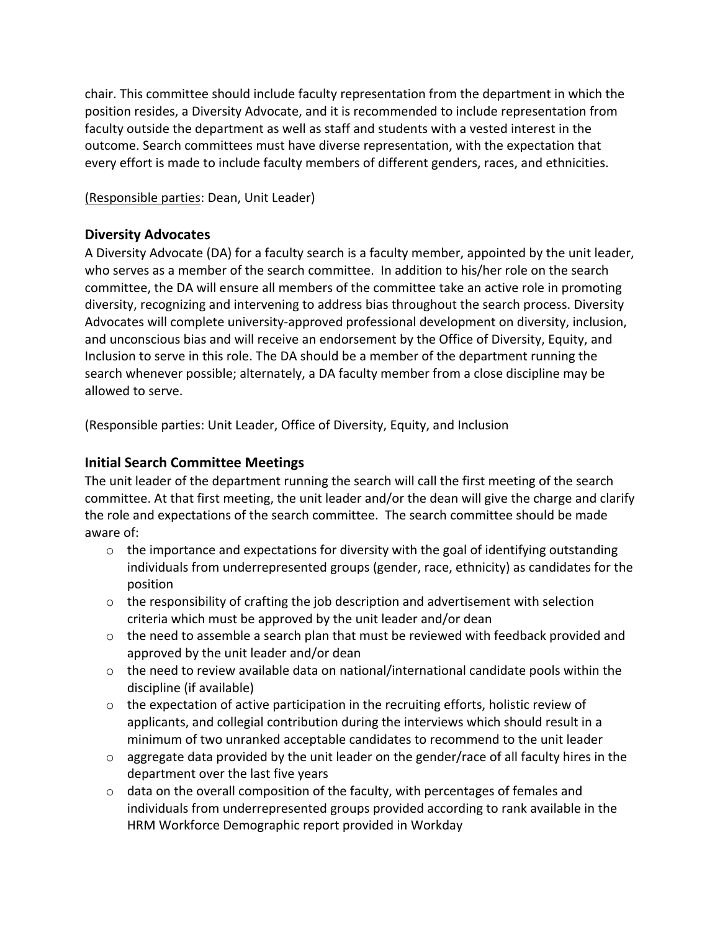chair. This committee should include faculty representation from the department in which the position resides, a Diversity Advocate, and it is recommended to include representation from faculty outside the department as well as staff and students with a vested interest in the outcome. Search committees must have diverse representation, with the expectation that every effort is made to include faculty members of different genders, races, and ethnicities.

### (Responsible parties: Dean, Unit Leader)

### **Diversity Advocates**

 A Diversity Advocate (DA) for a faculty search is a faculty member, appointed by the unit leader, who serves as a member of the search committee. In addition to his/her role on the search committee, the DA will ensure all members of the committee take an active role in promoting diversity, recognizing and intervening to address bias throughout the search process. Diversity Advocates will complete university-approved professional development on diversity, inclusion, and unconscious bias and will receive an endorsement by the Office of Diversity, Equity, and Inclusion to serve in this role. The DA should be a member of the department running the search whenever possible; alternately, a DA faculty member from a close discipline may be allowed to serve.

(Responsible parties: Unit Leader, Office of Diversity, Equity, and Inclusion

# **Initial Search Committee Meetings**

 The unit leader of the department running the search will call the first meeting of the search committee. At that first meeting, the unit leader and/or the dean will give the charge and clarify the role and expectations of the search committee. The search committee should be made aware of:

- $\circ$  the importance and expectations for diversity with the goal of identifying outstanding individuals from underrepresented groups (gender, race, ethnicity) as candidates for the position
- $\circ$  the responsibility of crafting the job description and advertisement with selection criteria which must be approved by the unit leader and/or dean
- $\circ$  the need to assemble a search plan that must be reviewed with feedback provided and approved by the unit leader and/or dean
- o the need to review available data on national/international candidate pools within the discipline (if available)
- $\circ$  the expectation of active participation in the recruiting efforts, holistic review of applicants, and collegial contribution during the interviews which should result in a minimum of two unranked acceptable candidates to recommend to the unit leader
- $\circ$  aggregate data provided by the unit leader on the gender/race of all faculty hires in the department over the last five years
- $\circ$  data on the overall composition of the faculty, with percentages of females and individuals from underrepresented groups provided according to rank available in the HRM Workforce Demographic report provided in Workday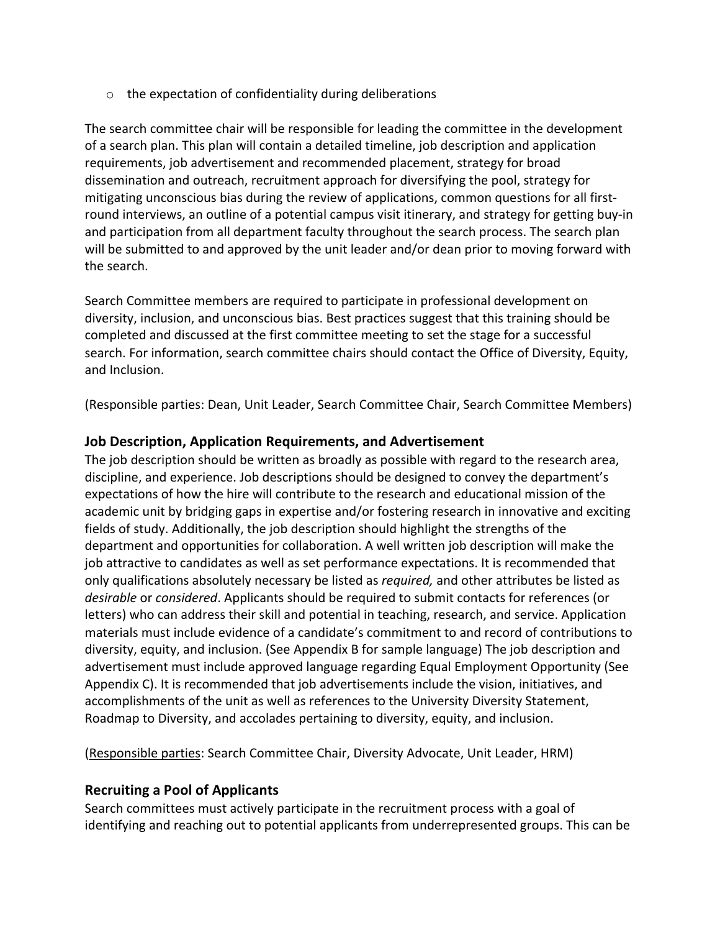$\circ$  the expectation of confidentiality during deliberations

 The search committee chair will be responsible for leading the committee in the development of a search plan. This plan will contain a detailed timeline, job description and application requirements, job advertisement and recommended placement, strategy for broad dissemination and outreach, recruitment approach for diversifying the pool, strategy for mitigating unconscious bias during the review of applications, common questions for all first- round interviews, an outline of a potential campus visit itinerary, and strategy for getting buy-in and participation from all department faculty throughout the search process. The search plan will be submitted to and approved by the unit leader and/or dean prior to moving forward with the search.

 Search Committee members are required to participate in professional development on diversity, inclusion, and unconscious bias. Best practices suggest that this training should be completed and discussed at the first committee meeting to set the stage for a successful search. For information, search committee chairs should contact the Office of Diversity, Equity, and Inclusion.

(Responsible parties: Dean, Unit Leader, Search Committee Chair, Search Committee Members)

### **Job Description, Application Requirements, and Advertisement**

 The job description should be written as broadly as possible with regard to the research area, discipline, and experience. Job descriptions should be designed to convey the department's expectations of how the hire will contribute to the research and educational mission of the academic unit by bridging gaps in expertise and/or fostering research in innovative and exciting fields of study. Additionally, the job description should highlight the strengths of the department and opportunities for collaboration. A well written job description will make the job attractive to candidates as well as set performance expectations. It is recommended that only qualifications absolutely necessary be listed as *required,* and other attributes be listed as *desirable* or *considered*. Applicants should be required to submit contacts for references (or letters) who can address their skill and potential in teaching, research, and service. Application materials must include evidence of a candidate's commitment to and record of contributions to diversity, equity, and inclusion. (See Appendix B for sample language) The job description and advertisement must include approved language regarding Equal Employment Opportunity (See Appendix C). It is recommended that job advertisements include the vision, initiatives, and accomplishments of the unit as well as references to the University Diversity Statement, Roadmap to Diversity, and accolades pertaining to diversity, equity, and inclusion.

(Responsible parties: Search Committee Chair, Diversity Advocate, Unit Leader, HRM)

# **Recruiting a Pool of Applicants**

 Search committees must actively participate in the recruitment process with a goal of identifying and reaching out to potential applicants from underrepresented groups. This can be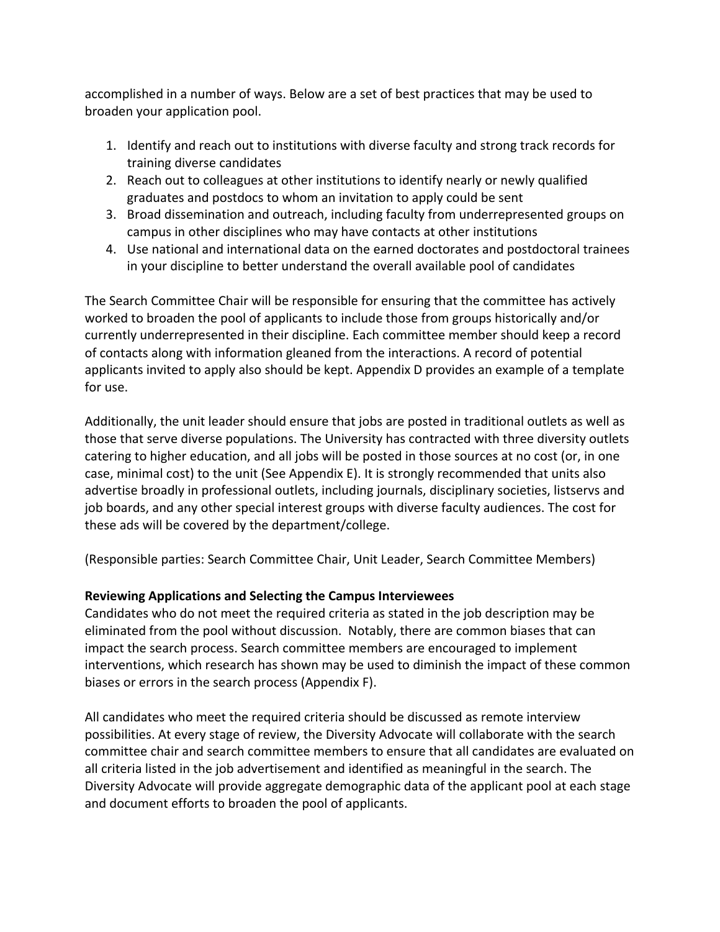accomplished in a number of ways. Below are a set of best practices that may be used to broaden your application pool.

- 1. Identify and reach out to institutions with diverse faculty and strong track records for training diverse candidates
- 2. Reach out to colleagues at other institutions to identify nearly or newly qualified graduates and postdocs to whom an invitation to apply could be sent
- 3. Broad dissemination and outreach, including faculty from underrepresented groups on campus in other disciplines who may have contacts at other institutions
- 4. Use national and international data on the earned doctorates and postdoctoral trainees in your discipline to better understand the overall available pool of candidates

 The Search Committee Chair will be responsible for ensuring that the committee has actively worked to broaden the pool of applicants to include those from groups historically and/or currently underrepresented in their discipline. Each committee member should keep a record of contacts along with information gleaned from the interactions. A record of potential applicants invited to apply also should be kept. Appendix D provides an example of a template for use.

 Additionally, the unit leader should ensure that jobs are posted in traditional outlets as well as those that serve diverse populations. The University has contracted with three diversity outlets catering to higher education, and all jobs will be posted in those sources at no cost (or, in one case, minimal cost) to the unit (See Appendix E). It is strongly recommended that units also advertise broadly in professional outlets, including journals, disciplinary societies, listservs and job boards, and any other special interest groups with diverse faculty audiences. The cost for these ads will be covered by the department/college.

(Responsible parties: Search Committee Chair, Unit Leader, Search Committee Members)

### **Reviewing Applications and Selecting the Campus Interviewees**

 Candidates who do not meet the required criteria as stated in the job description may be eliminated from the pool without discussion. Notably, there are common biases that can impact the search process. Search committee members are encouraged to implement interventions, which research has shown may be used to diminish the impact of these common biases or errors in the search process (Appendix F).

 All candidates who meet the required criteria should be discussed as remote interview possibilities. At every stage of review, the Diversity Advocate will collaborate with the search committee chair and search committee members to ensure that all candidates are evaluated on all criteria listed in the job advertisement and identified as meaningful in the search. The Diversity Advocate will provide aggregate demographic data of the applicant pool at each stage and document efforts to broaden the pool of applicants.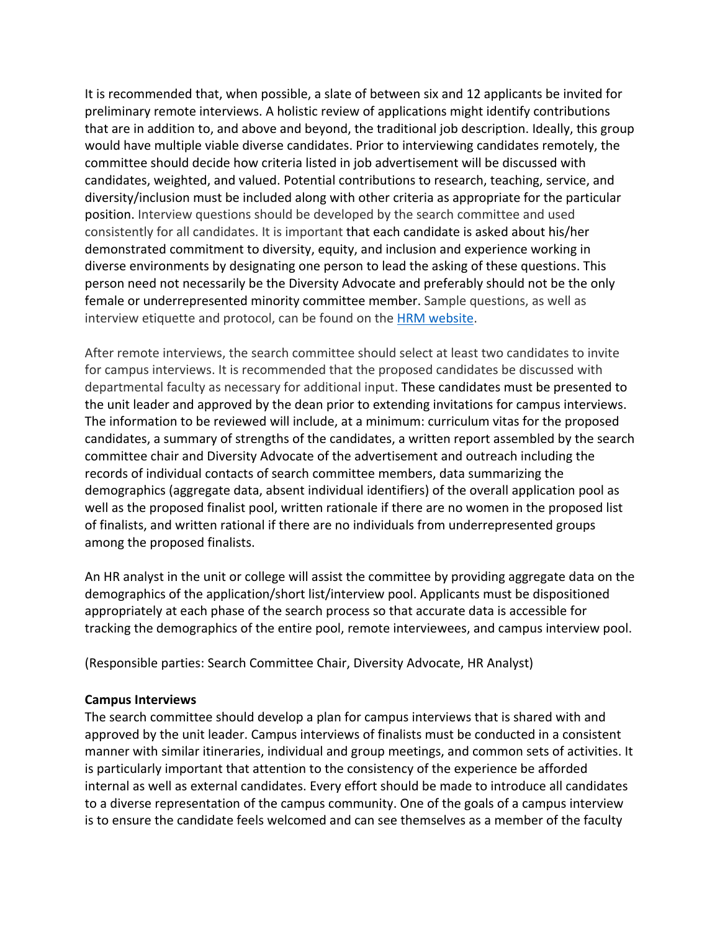It is recommended that, when possible, a slate of between six and 12 applicants be invited for preliminary remote interviews. A holistic review of applications might identify contributions that are in addition to, and above and beyond, the traditional job description. Ideally, this group would have multiple viable diverse candidates. Prior to interviewing candidates remotely, the committee should decide how criteria listed in job advertisement will be discussed with candidates, weighted, and valued. Potential contributions to research, teaching, service, and diversity/inclusion must be included along with other criteria as appropriate for the particular position. Interview questions should be developed by the search committee and used consistently for all candidates. It is important that each candidate is asked about his/her demonstrated commitment to diversity, equity, and inclusion and experience working in diverse environments by designating one person to lead the asking of these questions. This person need not necessarily be the Diversity Advocate and preferably should not be the only female or underrepresented minority committee member. Sample questions, as well as interview etiquette and protocol, can be found on the **HRM website**.

 After remote interviews, the search committee should select at least two candidates to invite for campus interviews. It is recommended that the proposed candidates be discussed with departmental faculty as necessary for additional input. These candidates must be presented to the unit leader and approved by the dean prior to extending invitations for campus interviews. The information to be reviewed will include, at a minimum: curriculum vitas for the proposed candidates, a summary of strengths of the candidates, a written report assembled by the search committee chair and Diversity Advocate of the advertisement and outreach including the records of individual contacts of search committee members, data summarizing the demographics (aggregate data, absent individual identifiers) of the overall application pool as well as the proposed finalist pool, written rationale if there are no women in the proposed list of finalists, and written rational if there are no individuals from underrepresented groups among the proposed finalists.

 An HR analyst in the unit or college will assist the committee by providing aggregate data on the demographics of the application/short list/interview pool. Applicants must be dispositioned appropriately at each phase of the search process so that accurate data is accessible for tracking the demographics of the entire pool, remote interviewees, and campus interview pool.

(Responsible parties: Search Committee Chair, Diversity Advocate, HR Analyst)

#### **Campus Interviews**

 The search committee should develop a plan for campus interviews that is shared with and approved by the unit leader. Campus interviews of finalists must be conducted in a consistent manner with similar itineraries, individual and group meetings, and common sets of activities. It is particularly important that attention to the consistency of the experience be afforded internal as well as external candidates. Every effort should be made to introduce all candidates to a diverse representation of the campus community. One of the goals of a campus interview is to ensure the candidate feels welcomed and can see themselves as a member of the faculty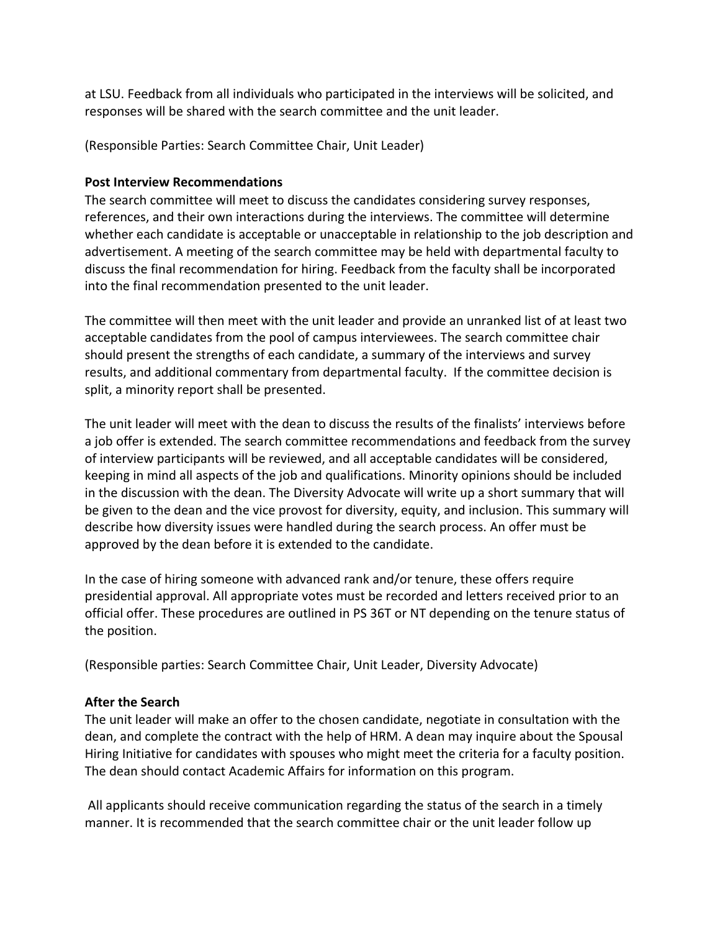at LSU. Feedback from all individuals who participated in the interviews will be solicited, and responses will be shared with the search committee and the unit leader.

(Responsible Parties: Search Committee Chair, Unit Leader)

#### **Post Interview Recommendations**

 The search committee will meet to discuss the candidates considering survey responses, references, and their own interactions during the interviews. The committee will determine whether each candidate is acceptable or unacceptable in relationship to the job description and advertisement. A meeting of the search committee may be held with departmental faculty to discuss the final recommendation for hiring. Feedback from the faculty shall be incorporated into the final recommendation presented to the unit leader.

 The committee will then meet with the unit leader and provide an unranked list of at least two acceptable candidates from the pool of campus interviewees. The search committee chair should present the strengths of each candidate, a summary of the interviews and survey results, and additional commentary from departmental faculty. If the committee decision is split, a minority report shall be presented.

 The unit leader will meet with the dean to discuss the results of the finalists' interviews before a job offer is extended. The search committee recommendations and feedback from the survey of interview participants will be reviewed, and all acceptable candidates will be considered, keeping in mind all aspects of the job and qualifications. Minority opinions should be included in the discussion with the dean. The Diversity Advocate will write up a short summary that will be given to the dean and the vice provost for diversity, equity, and inclusion. This summary will describe how diversity issues were handled during the search process. An offer must be approved by the dean before it is extended to the candidate.

 In the case of hiring someone with advanced rank and/or tenure, these offers require presidential approval. All appropriate votes must be recorded and letters received prior to an official offer. These procedures are outlined in PS 36T or NT depending on the tenure status of the position.

(Responsible parties: Search Committee Chair, Unit Leader, Diversity Advocate)

#### **After the Search**

 The unit leader will make an offer to the chosen candidate, negotiate in consultation with the dean, and complete the contract with the help of HRM. A dean may inquire about the Spousal Hiring Initiative for candidates with spouses who might meet the criteria for a faculty position. The dean should contact Academic Affairs for information on this program.

 All applicants should receive communication regarding the status of the search in a timely manner. It is recommended that the search committee chair or the unit leader follow up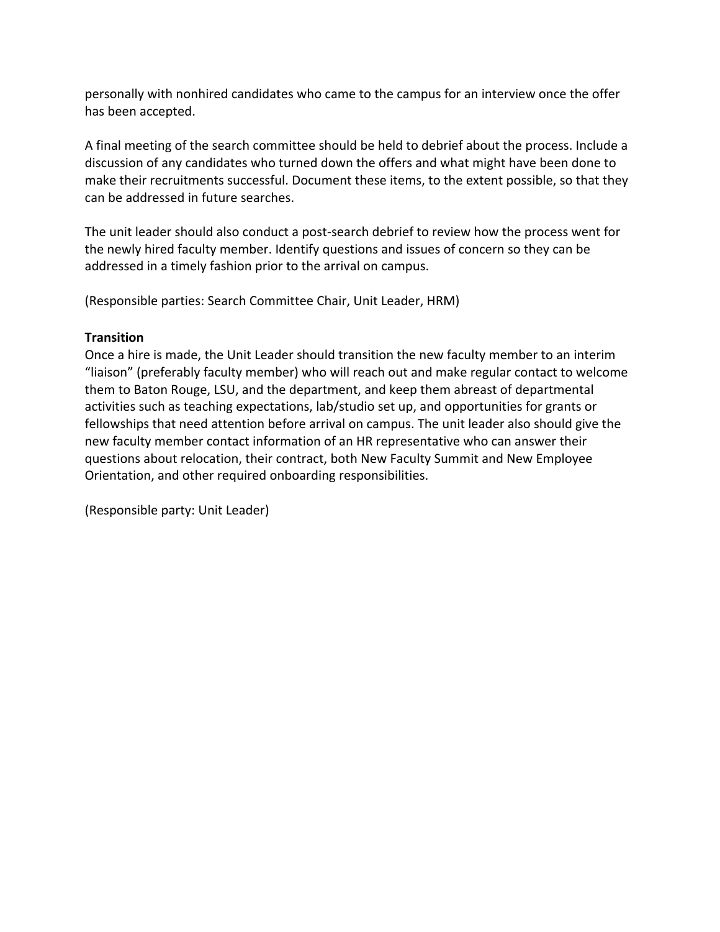personally with nonhired candidates who came to the campus for an interview once the offer has been accepted.

 A final meeting of the search committee should be held to debrief about the process. Include a discussion of any candidates who turned down the offers and what might have been done to make their recruitments successful. Document these items, to the extent possible, so that they can be addressed in future searches.

 The unit leader should also conduct a post-search debrief to review how the process went for the newly hired faculty member. Identify questions and issues of concern so they can be addressed in a timely fashion prior to the arrival on campus.

(Responsible parties: Search Committee Chair, Unit Leader, HRM)

### **Transition**

 Once a hire is made, the Unit Leader should transition the new faculty member to an interim "liaison" (preferably faculty member) who will reach out and make regular contact to welcome them to Baton Rouge, LSU, and the department, and keep them abreast of departmental activities such as teaching expectations, lab/studio set up, and opportunities for grants or fellowships that need attention before arrival on campus. The unit leader also should give the new faculty member contact information of an HR representative who can answer their questions about relocation, their contract, both New Faculty Summit and New Employee Orientation, and other required onboarding responsibilities.

(Responsible party: Unit Leader)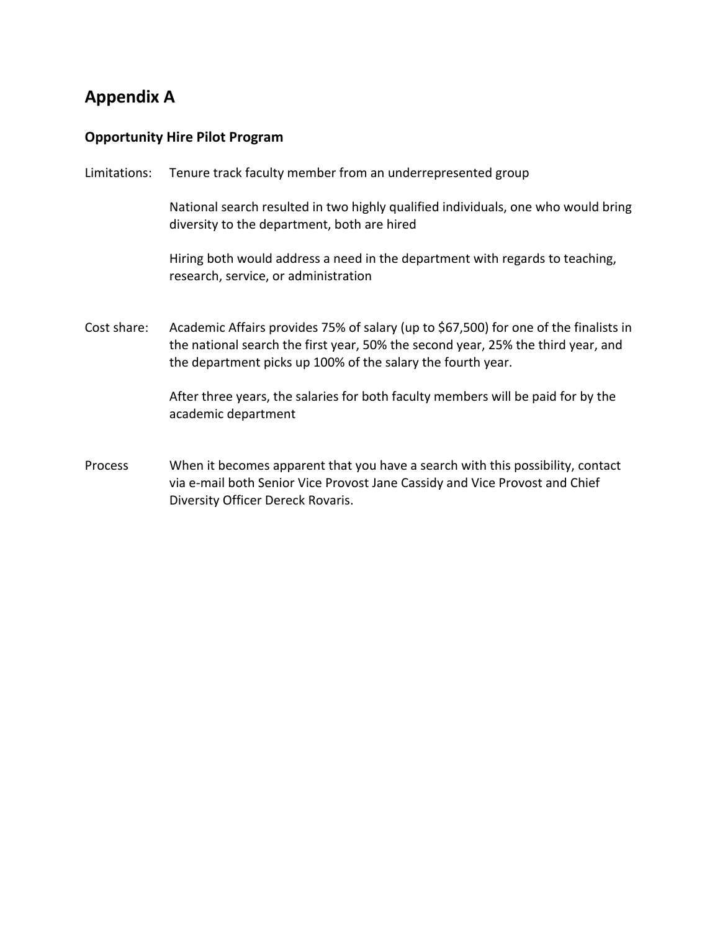# **Appendix A**

### **Opportunity Hire Pilot Program**

Limitations: Tenure track faculty member from an underrepresented group

 National search resulted in two highly qualified individuals, one who would bring diversity to the department, both are hired

 Hiring both would address a need in the department with regards to teaching, research, service, or administration

 Cost share: Academic Affairs provides 75% of salary (up to \$67,500) for one of the finalists in the national search the first year, 50% the second year, 25% the third year, and the department picks up 100% of the salary the fourth year.

> After three years, the salaries for both faculty members will be paid for by the academic department

 Process When it becomes apparent that you have a search with this possibility, contact via e-mail both Senior Vice Provost Jane Cassidy and Vice Provost and Chief Diversity Officer Dereck Rovaris.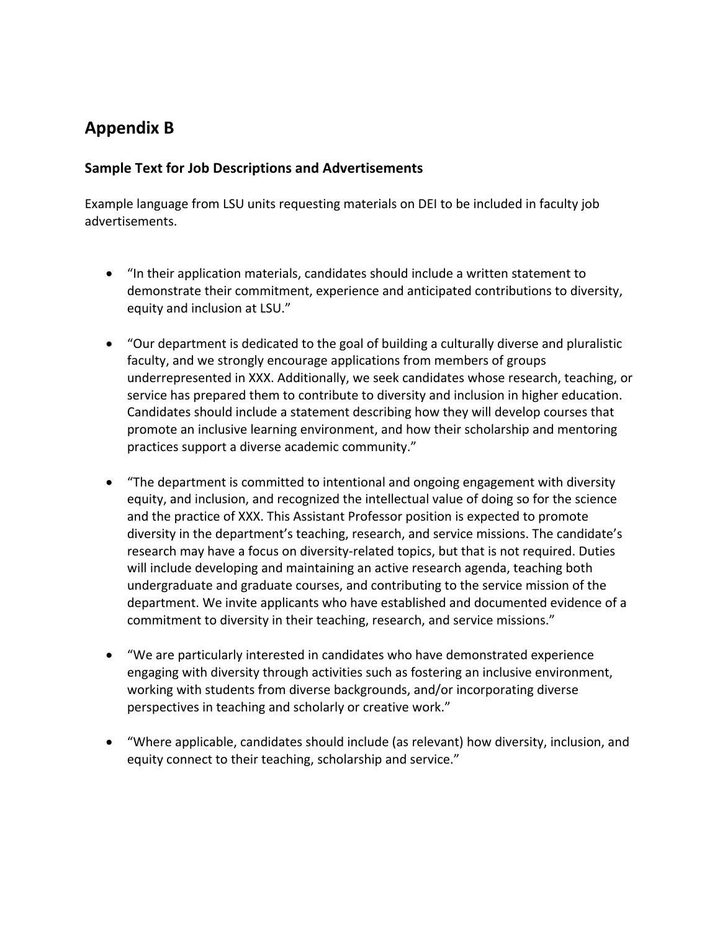# **Appendix B**

### **Sample Text for Job Descriptions and Advertisements**

 Example language from LSU units requesting materials on DEI to be included in faculty job advertisements.

- • "In their application materials, candidates should include a written statement to demonstrate their commitment, experience and anticipated contributions to diversity, equity and inclusion at LSU."
- • "Our department is dedicated to the goal of building a culturally diverse and pluralistic faculty, and we strongly encourage applications from members of groups underrepresented in XXX. Additionally, we seek candidates whose research, teaching, or service has prepared them to contribute to diversity and inclusion in higher education. Candidates should include a statement describing how they will develop courses that promote an inclusive learning environment, and how their scholarship and mentoring practices support a diverse academic community."
- • "The department is committed to intentional and ongoing engagement with diversity equity, and inclusion, and recognized the intellectual value of doing so for the science and the practice of XXX. This Assistant Professor position is expected to promote diversity in the department's teaching, research, and service missions. The candidate's research may have a focus on diversity-related topics, but that is not required. Duties will include developing and maintaining an active research agenda, teaching both undergraduate and graduate courses, and contributing to the service mission of the department. We invite applicants who have established and documented evidence of a commitment to diversity in their teaching, research, and service missions."
- • "We are particularly interested in candidates who have demonstrated experience engaging with diversity through activities such as fostering an inclusive environment, working with students from diverse backgrounds, and/or incorporating diverse perspectives in teaching and scholarly or creative work."
- • "Where applicable, candidates should include (as relevant) how diversity, inclusion, and equity connect to their teaching, scholarship and service."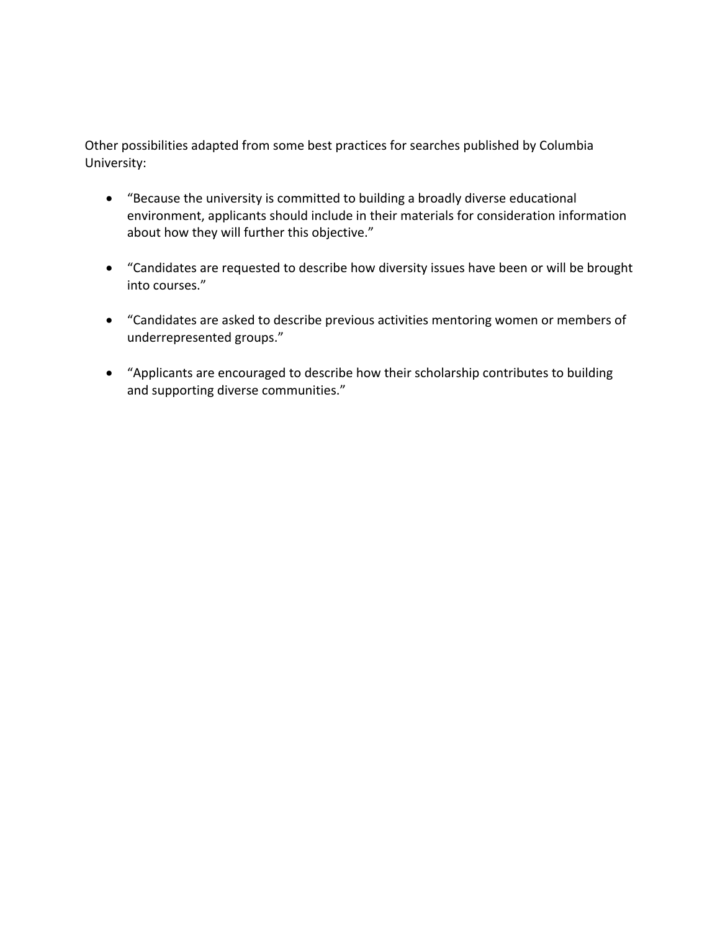Other possibilities adapted from some best practices for searches published by Columbia University:

- • "Because the university is committed to building a broadly diverse educational environment, applicants should include in their materials for consideration information about how they will further this objective."
- • "Candidates are requested to describe how diversity issues have been or will be brought into courses."
- • "Candidates are asked to describe previous activities mentoring women or members of underrepresented groups."
- • "Applicants are encouraged to describe how their scholarship contributes to building and supporting diverse communities."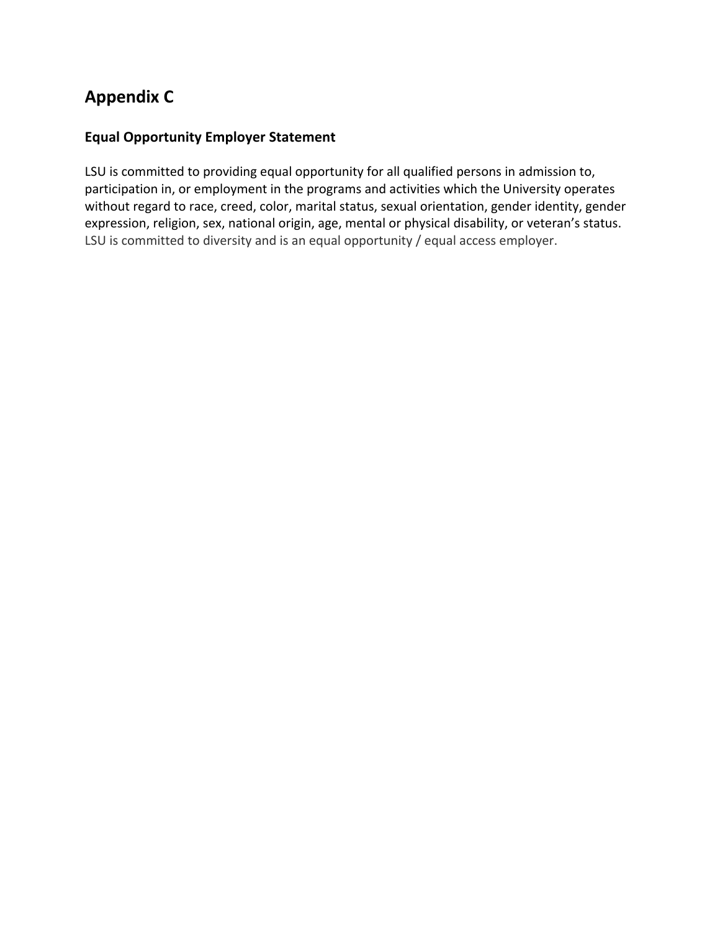# **Appendix C**

# **Equal Opportunity Employer Statement**

 LSU is committed to providing equal opportunity for all qualified persons in admission to, participation in, or employment in the programs and activities which the University operates without regard to race, creed, color, marital status, sexual orientation, gender identity, gender expression, religion, sex, national origin, age, mental or physical disability, or veteran's status. LSU is committed to diversity and is an equal opportunity / equal access employer.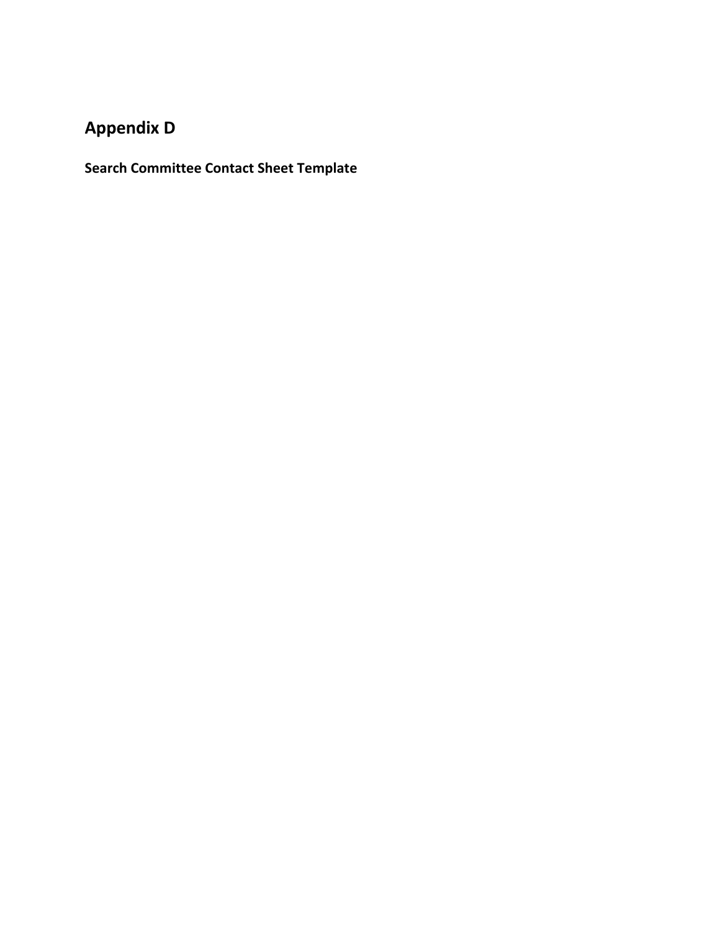# **Appendix D**

**Search Committee Contact Sheet Template**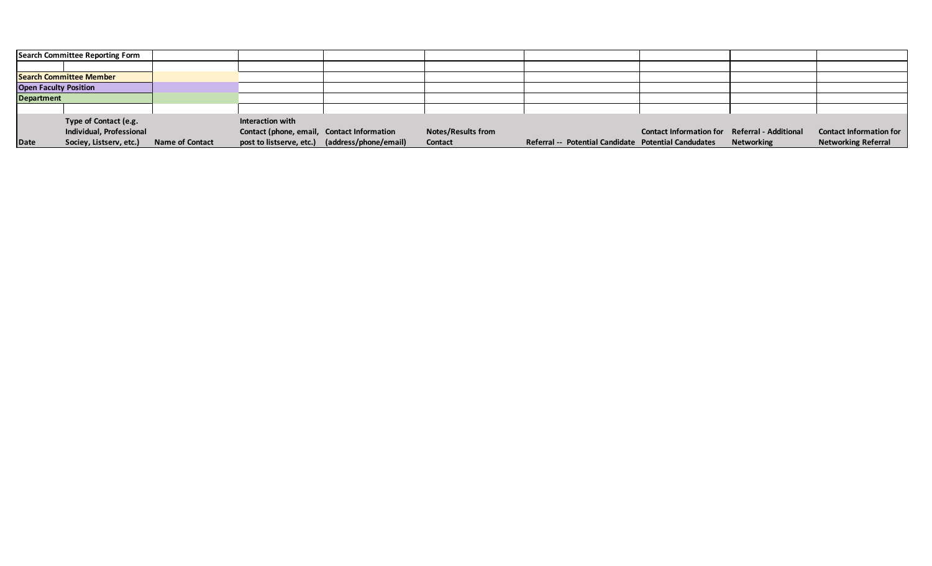| Search Committee Reporting Form |                          |                        |                                            |                                                |                           |                                                      |                                                      |                   |                                |
|---------------------------------|--------------------------|------------------------|--------------------------------------------|------------------------------------------------|---------------------------|------------------------------------------------------|------------------------------------------------------|-------------------|--------------------------------|
|                                 |                          |                        |                                            |                                                |                           |                                                      |                                                      |                   |                                |
| <b>Search Committee Member</b>  |                          |                        |                                            |                                                |                           |                                                      |                                                      |                   |                                |
| <b>Open Faculty Position</b>    |                          |                        |                                            |                                                |                           |                                                      |                                                      |                   |                                |
| <b>Department</b>               |                          |                        |                                            |                                                |                           |                                                      |                                                      |                   |                                |
|                                 |                          |                        |                                            |                                                |                           |                                                      |                                                      |                   |                                |
|                                 | Type of Contact (e.g.    |                        | Interaction with                           |                                                |                           |                                                      |                                                      |                   |                                |
|                                 | Individual, Professional |                        | Contact (phone, email, Contact Information |                                                | <b>Notes/Results from</b> |                                                      | <b>Contact Information for Referral - Additional</b> |                   | <b>Contact Information for</b> |
| Date                            | Sociey, Listserv, etc.)  | <b>Name of Contact</b> |                                            | post to listserve, etc.) (address/phone/email) | Contact                   | Referral -- Potential Candidate Potential Candudates |                                                      | <b>Networking</b> | <b>Networking Referral</b>     |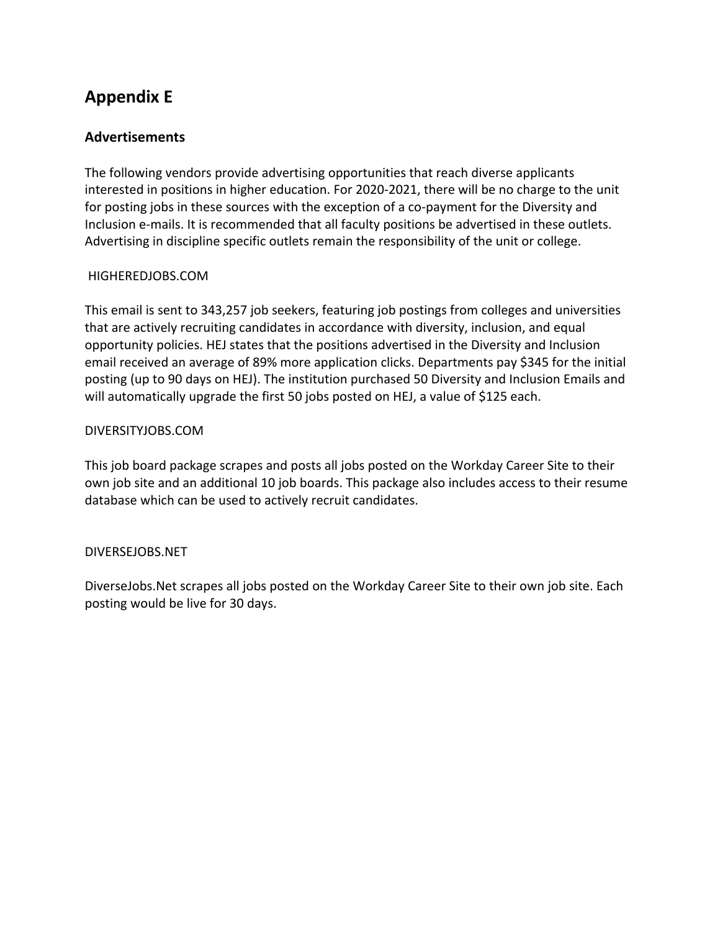# **Appendix E**

### **Advertisements**

 The following vendors provide advertising opportunities that reach diverse applicants interested in positions in higher education. For 2020-2021, there will be no charge to the unit for posting jobs in these sources with the exception of a co-payment for the Diversity and Inclusion e-mails. It is recommended that all faculty positions be advertised in these outlets. Advertising in discipline specific outlets remain the responsibility of the unit or college.

### [HIGHEREDJOBS.COM](https://HIGHEREDJOBS.COM)

 This email is sent to 343,257 job seekers, featuring job postings from colleges and universities that are actively recruiting candidates in accordance with diversity, inclusion, and equal opportunity policies. HEJ states that the positions advertised in the Diversity and Inclusion email received an average of 89% more application clicks. Departments pay \$345 for the initial posting (up to 90 days on HEJ). The institution purchased 50 Diversity and Inclusion Emails and will automatically upgrade the first 50 jobs posted on HEJ, a value of \$125 each.

#### [DIVERSITYJOBS.COM](https://DIVERSITYJOBS.COM)

 This job board package scrapes and posts all jobs posted on the Workday Career Site to their own job site and an additional 10 job boards. This package also includes access to their resume database which can be used to actively recruit candidates.

#### [DIVERSEJOBS.NET](https://DIVERSEJOBS.NET)

 [DiverseJobs.Net](https://DiverseJobs.Net) scrapes all jobs posted on the Workday Career Site to their own job site. Each posting would be live for 30 days.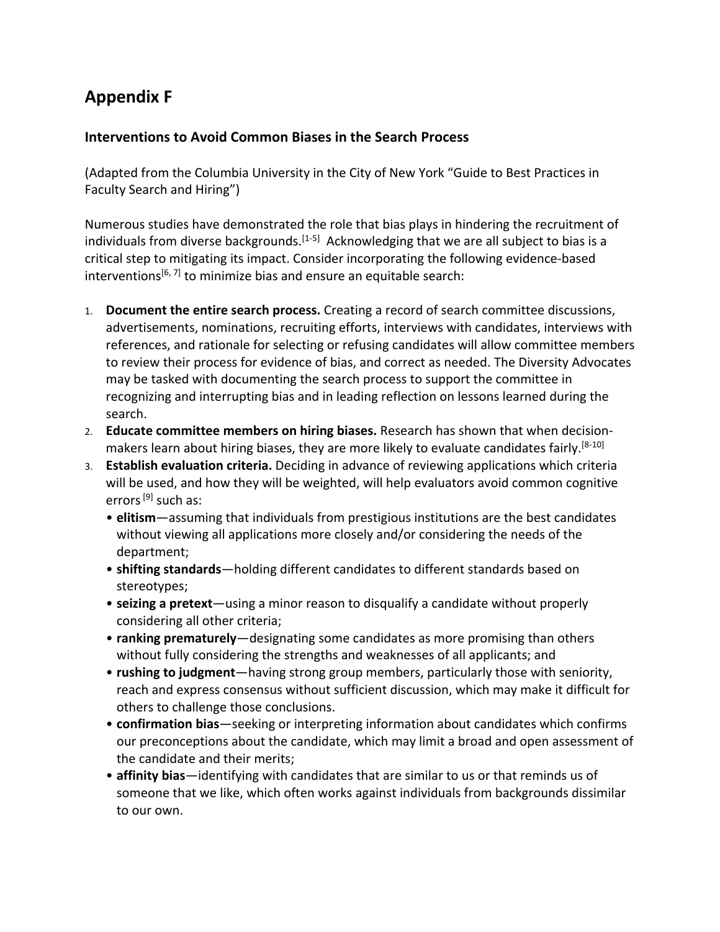# **Appendix F**

### **Interventions to Avoid Common Biases in the Search Process**

 (Adapted from the Columbia University in the City of New York "Guide to Best Practices in Faculty Search and Hiring")

 Numerous studies have demonstrated the role that bias plays in hindering the recruitment of individuals from diverse backgrounds.<sup>[1-5]</sup> Acknowledging that we are all subject to bias is a critical step to mitigating its impact. Consider incorporating the following evidence-based interventions<sup>[6,7]</sup> to minimize bias and ensure an equitable search:

- 1. **Document the entire search process.** Creating a record of search committee discussions, advertisements, nominations, recruiting efforts, interviews with candidates, interviews with references, and rationale for selecting or refusing candidates will allow committee members to review their process for evidence of bias, and correct as needed. The Diversity Advocates may be tasked with documenting the search process to support the committee in recognizing and interrupting bias and in leading reflection on lessons learned during the search.
- search. 2. **Educate committee members on hiring biases.** Research has shown that when decisionmakers learn about hiring biases, they are more likely to evaluate candidates fairly.<sup>[8-10]</sup>
- 3. **Establish evaluation criteria.** Deciding in advance of reviewing applications which criteria will be used, and how they will be weighted, will help evaluators avoid common cognitive errors <sup>[9]</sup> such as:
	- • **elitis m**—assuming that individuals from prestigious institutions are the best candidates without viewing all applications more closely and/or considering the needs of the department;
	- • **shifting standards**—holding different candidates to different standards based on stereotypes;
	- • **seizing a pretext**—using a minor reason to disqualify a candidate without properly considering all other criteria;
	- • **ranking prematurely**—designating some candidates as more promising than others without fully considering the strengths and weaknesses of all applicants; and
	- • **rushing to judgment**—having strong group members, particularly those with seniority, reach and express consensus without sufficient discussion, which may make it difficult for others to challenge those conclusions.
	- • **confirmation bias**—seeking or interpreting information about candidates which confirms our preconceptions about the candidate, which may limit a broad and open assessment of the candidate and their merits;
	- • **affinity bias**—identifying with candidates that are similar to us or that reminds us of someone that we like, which often works against individuals from backgrounds dissimilar to our own.